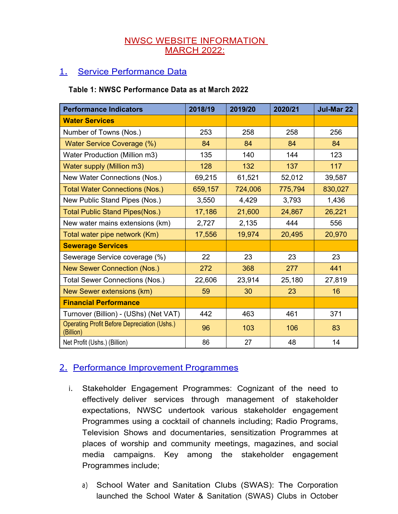### NWSC WEBSITE INFORMATION MARCH 2022:

## 1. Service Performance Data

#### **Table 1: NWSC Performance Data as at March 2022**

| <b>Performance Indicators</b>                                    | 2018/19 | 2019/20 | 2020/21 | Jul-Mar 22 |
|------------------------------------------------------------------|---------|---------|---------|------------|
| <b>Water Services</b>                                            |         |         |         |            |
| Number of Towns (Nos.)                                           | 253     | 258     | 258     | 256        |
| Water Service Coverage (%)                                       | 84      | 84      | 84      | 84         |
| Water Production (Million m3)                                    | 135     | 140     | 144     | 123        |
| <b>Water supply (Million m3)</b>                                 | 128     | 132     | 137     | 117        |
| New Water Connections (Nos.)                                     | 69,215  | 61,521  | 52,012  | 39,587     |
| <b>Total Water Connections (Nos.)</b>                            | 659,157 | 724,006 | 775,794 | 830,027    |
| New Public Stand Pipes (Nos.)                                    | 3,550   | 4,429   | 3,793   | 1,436      |
| <b>Total Public Stand Pipes(Nos.)</b>                            | 17,186  | 21,600  | 24,867  | 26,221     |
| New water mains extensions (km)                                  | 2,727   | 2,135   | 444     | 556        |
| Total water pipe network (Km)                                    | 17,556  | 19,974  | 20,495  | 20,970     |
| <b>Sewerage Services</b>                                         |         |         |         |            |
| Sewerage Service coverage (%)                                    | 22      | 23      | 23      | 23         |
| <b>New Sewer Connection (Nos.)</b>                               | 272     | 368     | 277     | 441        |
| Total Sewer Connections (Nos.)                                   | 22,606  | 23,914  | 25,180  | 27,819     |
| New Sewer extensions (km)                                        | 59      | 30      | 23      | 16         |
| <b>Financial Performance</b>                                     |         |         |         |            |
| Turnover (Billion) - (UShs) (Net VAT)                            | 442     | 463     | 461     | 371        |
| <b>Operating Profit Before Depreciation (Ushs.)</b><br>(Billion) | 96      | 103     | 106     | 83         |
| Net Profit (Ushs.) (Billion)                                     | 86      | 27      | 48      | 14         |

## 2. Performance Improvement Programmes

- i. Stakeholder Engagement Programmes: Cognizant of the need to effectively deliver services through management of stakeholder expectations, NWSC undertook various stakeholder engagement Programmes using a cocktail of channels including; Radio Programs, Television Shows and documentaries, sensitization Programmes at places of worship and community meetings, magazines, and social media campaigns. Key among the stakeholder engagement Programmes include;
	- a) School Water and Sanitation Clubs (SWAS): The Corporation launched the School Water & Sanitation (SWAS) Clubs in October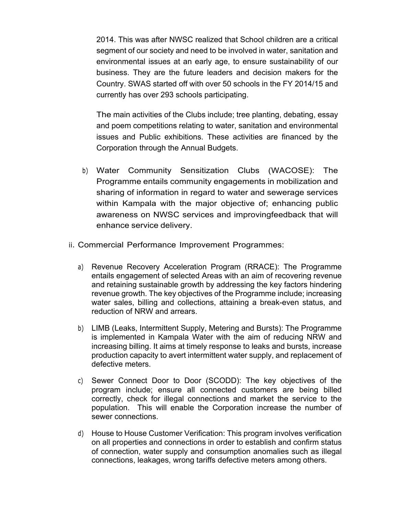2014. This was after NWSC realized that School children are a critical segment of our society and need to be involved in water, sanitation and environmental issues at an early age, to ensure sustainability of our business. They are the future leaders and decision makers for the Country. SWAS started off with over 50 schools in the FY 2014/15 and currently has over 293 schools participating.

The main activities of the Clubs include; tree planting, debating, essay and poem competitions relating to water, sanitation and environmental issues and Public exhibitions. These activities are financed by the Corporation through the Annual Budgets.

- b) Water Community Sensitization Clubs (WACOSE): The Programme entails community engagements in mobilization and sharing of information in regard to water and sewerage services within Kampala with the major objective of; enhancing public awareness on NWSC services and improvingfeedback that will enhance service delivery.
- ii. Commercial Performance Improvement Programmes:
	- a) Revenue Recovery Acceleration Program (RRACE): The Programme entails engagement of selected Areas with an aim of recovering revenue and retaining sustainable growth by addressing the key factors hindering revenue growth. The key objectives of the Programme include; increasing water sales, billing and collections, attaining a break-even status, and reduction of NRW and arrears.
	- b) LIMB (Leaks, Intermittent Supply, Metering and Bursts): The Programme is implemented in Kampala Water with the aim of reducing NRW and increasing billing. It aims at timely response to leaks and bursts, increase production capacity to avert intermittent water supply, and replacement of defective meters.
	- c) Sewer Connect Door to Door (SCODD): The key objectives of the program include; ensure all connected customers are being billed correctly, check for illegal connections and market the service to the population. This will enable the Corporation increase the number of sewer connections.
	- d) House to House Customer Verification: This program involves verification on all properties and connections in order to establish and confirm status of connection, water supply and consumption anomalies such as illegal connections, leakages, wrong tariffs defective meters among others.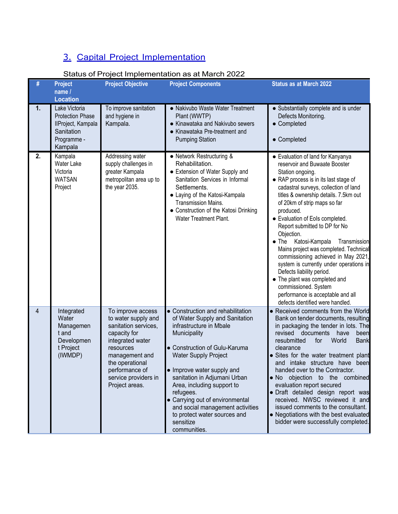# 3. Capital Project Implementation

| Status of Project Implementation as at March 2022 |
|---------------------------------------------------|
|---------------------------------------------------|

|    |                                                                                                        |                                                                                                                                                                                                                    | Oldius on Floject implementation ds di march 2022                                                                                                                                                                                                                                                                                                                                                                           |                                                                                                                                                                                                                                                                                                                                                                                                                                                                                                                                                                                                                                                                                      |
|----|--------------------------------------------------------------------------------------------------------|--------------------------------------------------------------------------------------------------------------------------------------------------------------------------------------------------------------------|-----------------------------------------------------------------------------------------------------------------------------------------------------------------------------------------------------------------------------------------------------------------------------------------------------------------------------------------------------------------------------------------------------------------------------|--------------------------------------------------------------------------------------------------------------------------------------------------------------------------------------------------------------------------------------------------------------------------------------------------------------------------------------------------------------------------------------------------------------------------------------------------------------------------------------------------------------------------------------------------------------------------------------------------------------------------------------------------------------------------------------|
| #  | <b>Project</b><br>name /                                                                               | <b>Project Objective</b>                                                                                                                                                                                           | <b>Project Components</b>                                                                                                                                                                                                                                                                                                                                                                                                   | <b>Status as at March 2022</b>                                                                                                                                                                                                                                                                                                                                                                                                                                                                                                                                                                                                                                                       |
|    | <b>Location</b>                                                                                        |                                                                                                                                                                                                                    |                                                                                                                                                                                                                                                                                                                                                                                                                             |                                                                                                                                                                                                                                                                                                                                                                                                                                                                                                                                                                                                                                                                                      |
| 1. | Lake Victoria<br><b>Protection Phase</b><br>IIProject, Kampala<br>Sanitation<br>Programme -<br>Kampala | To improve sanitation<br>and hygiene in<br>Kampala.                                                                                                                                                                | • Nakivubo Waste Water Treatment<br>Plant (WWTP)<br>• Kinawataka and Nakivubo sewers<br>• Kinawataka Pre-treatment and<br><b>Pumping Station</b>                                                                                                                                                                                                                                                                            | • Substantially complete and is under<br>Defects Monitoring.<br>• Completed<br>• Completed                                                                                                                                                                                                                                                                                                                                                                                                                                                                                                                                                                                           |
| 2. | Kampala<br>Water Lake<br>Victoria<br><b>WATSAN</b><br>Project                                          | Addressing water<br>supply challenges in<br>greater Kampala<br>metropolitan area up to<br>the year 2035.                                                                                                           | • Network Restructuring &<br>Rehabilitation.<br>• Extension of Water Supply and<br>Sanitation Services in Informal<br>Settlements.<br>• Laying of the Katosi-Kampala<br>Transmission Mains.<br>• Construction of the Katosi Drinking<br><b>Water Treatment Plant.</b>                                                                                                                                                       | • Evaluation of land for Kanyanya<br>reservoir and Buwaate Booster<br>Station ongoing.<br>• RAP process is in its last stage of<br>cadastral surveys, collection of land<br>titles & ownership details. 7.5km out<br>of 20km of strip maps so far<br>produced.<br>• Evaluation of Eols completed.<br>Report submitted to DP for No<br>Objection.<br>Katosi-Kampala<br>Transmission<br>The<br>Mains project was completed. Technical<br>commissioning achieved in May 2021,<br>system is currently under operations in<br>Defects liability period.<br>• The plant was completed and<br>commissioned. System<br>performance is acceptable and all<br>defects identified were handled. |
| 4  | Integrated<br>Water<br>Managemen<br>t and<br>Developmen<br>t Project<br>(IWMDP)                        | To improve access<br>to water supply and<br>sanitation services,<br>capacity for<br>integrated water<br>resources<br>management and<br>the operational<br>performance of<br>service providers in<br>Project areas. | • Construction and rehabilitation<br>of Water Supply and Sanitation<br>infrastructure in Mbale<br>Municipality<br>• Construction of Gulu-Karuma<br><b>Water Supply Project</b><br>• Improve water supply and<br>sanitation in Adjumani Urban<br>Area, including support to<br>refugees.<br>• Carrying out of environmental<br>and social management activities<br>to protect water sources and<br>sensitize<br>communities. | • Received comments from the World<br>Bank on tender documents, resulting<br>in packaging the tender in lots. The<br>revised<br>documents<br>have<br>been<br>resubmitted<br>for<br>World<br><b>Bank</b><br>clearance<br>· Sites for the water treatment plant<br>and intake structure have been<br>handed over to the Contractor.<br>. No objection to the combined<br>evaluation report secured<br>· Draft detailed design report was<br>received. NWSC reviewed it and<br>issued comments to the consultant.<br>• Negotiations with the best evaluated<br>bidder were successfully completed.                                                                                      |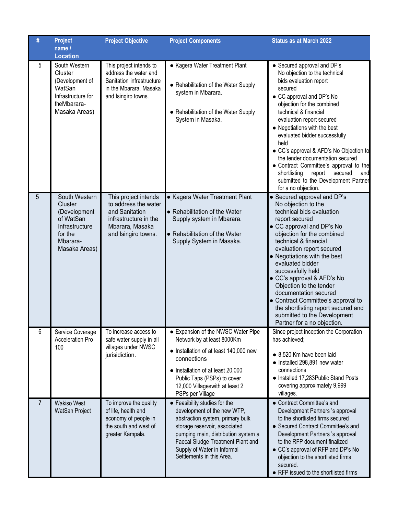| #              | <b>Project</b><br>name /<br><b>Location</b>                                                                     | <b>Project Objective</b>                                                                                                          | <b>Project Components</b>                                                                                                                                                                                                                                                 | <b>Status as at March 2022</b>                                                                                                                                                                                                                                                                                                                                                                                                                                                                                                  |
|----------------|-----------------------------------------------------------------------------------------------------------------|-----------------------------------------------------------------------------------------------------------------------------------|---------------------------------------------------------------------------------------------------------------------------------------------------------------------------------------------------------------------------------------------------------------------------|---------------------------------------------------------------------------------------------------------------------------------------------------------------------------------------------------------------------------------------------------------------------------------------------------------------------------------------------------------------------------------------------------------------------------------------------------------------------------------------------------------------------------------|
| 5              | South Western<br>Cluster<br>(Development of<br>WatSan<br>Infrastructure for<br>theMbarara-<br>Masaka Areas)     | This project intends to<br>address the water and<br>Sanitation infrastructure<br>in the Mbarara, Masaka<br>and Isingiro towns.    | • Kagera Water Treatment Plant<br>• Rehabilitation of the Water Supply<br>system in Mbarara.<br>• Rehabilitation of the Water Supply<br>System in Masaka.                                                                                                                 | • Secured approval and DP's<br>No objection to the technical<br>bids evaluation report<br>secured<br>• CC approval and DP's No<br>objection for the combined<br>technical & financial<br>evaluation report secured<br>• Negotiations with the best<br>evaluated bidder successfully<br>held<br>• CC's approval & AFD's No Objection to<br>the tender documentation secured<br>• Contract Committee's approval to the<br>shortlisting<br>report<br>secured<br>and<br>submitted to the Development Partner<br>for a no objection. |
| 5              | South Western<br>Cluster<br>(Development<br>of WatSan<br>Infrastructure<br>for the<br>Mbarara-<br>Masaka Areas) | This project intends<br>to address the water<br>and Sanitation<br>infrastructure in the<br>Mbarara, Masaka<br>and Isingiro towns. | • Kagera Water Treatment Plant<br>• Rehabilitation of the Water<br>Supply system in Mbarara.<br>• Rehabilitation of the Water<br>Supply System in Masaka.                                                                                                                 | • Secured approval and DP's<br>No objection to the<br>technical bids evaluation<br>report secured<br>• CC approval and DP's No<br>objection for the combined<br>technical & financial<br>evaluation report secured<br>• Negotiations with the best<br>evaluated bidder<br>successfully held<br>• CC's approval & AFD's No<br>Objection to the tender<br>documentation secured<br>• Contract Committee's approval to<br>the shortlisting report secured and<br>submitted to the Development<br>Partner for a no objection.       |
| 6              | Service Coverage<br><b>Acceleration Pro</b><br>100                                                              | To increase access to<br>safe water supply in all<br>villages under NWSC<br>jurisidiction.                                        | • Expansion of the NWSC Water Pipe<br>Network by at least 8000Km<br>• Installation of at least 140,000 new<br>connections<br>• Installation of at least 20,000<br>Public Taps (PSPs) to cover<br>12,000 Villageswith at least 2<br>PSPs per Village                       | Since project inception the Corporation<br>has achieved;<br>• 8,520 Km have been laid<br>• Installed 298,891 new water<br>connections<br>• Installed 17,283 Public Stand Posts<br>covering approximately 9,999<br>villages.                                                                                                                                                                                                                                                                                                     |
| $\overline{7}$ | <b>Wakiso West</b><br>WatSan Project                                                                            | To improve the quality<br>of life, health and<br>economy of people in<br>the south and west of<br>greater Kampala.                | • Feasibility studies for the<br>development of the new WTP,<br>abstraction system, primary bulk<br>storage reservoir, associated<br>pumping main, distribution system a<br>Faecal Sludge Treatment Plant and<br>Supply of Water in Informal<br>Settlements in this Area. | • Contract Committee's and<br>Development Partners 's approval<br>to the shortlisted firms secured<br>• Secured Contract Committee's and<br>Development Partners 's approval<br>to the RFP document finalized<br>• CC's approval of RFP and DP's No<br>objection to the shortlisted firms<br>secured.<br>• RFP issued to the shortlisted firms                                                                                                                                                                                  |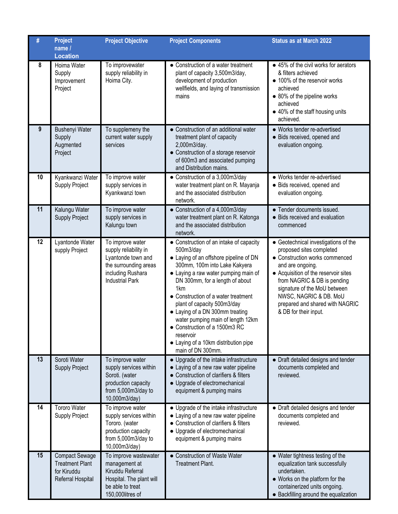|    | <b>Project</b><br>name /<br><b>Location</b>                                         | <b>Project Objective</b>                                                                                                                | <b>Project Components</b>                                                                                                                                                                                                                                                                                                                                                                                                                                                              | <b>Status as at March 2022</b>                                                                                                                                                                                                                                                                                      |
|----|-------------------------------------------------------------------------------------|-----------------------------------------------------------------------------------------------------------------------------------------|----------------------------------------------------------------------------------------------------------------------------------------------------------------------------------------------------------------------------------------------------------------------------------------------------------------------------------------------------------------------------------------------------------------------------------------------------------------------------------------|---------------------------------------------------------------------------------------------------------------------------------------------------------------------------------------------------------------------------------------------------------------------------------------------------------------------|
| 8  | Hoima Water<br>Supply<br>Improvement<br>Project                                     | To improvewater<br>supply reliability in<br>Hoima City.                                                                                 | • Construction of a water treatment<br>plant of capacity 3,500m3/day,<br>development of production<br>wellfields, and laying of transmission<br>mains                                                                                                                                                                                                                                                                                                                                  | • 45% of the civil works for aerators<br>& filters achieved<br>• 100% of the reservoir works<br>achieved<br>• 80% of the pipeline works<br>achieved<br>• 40% of the staff housing units<br>achieved.                                                                                                                |
| 9  | <b>Bushenyi Water</b><br>Supply<br>Augmented<br>Project                             | To supplemeny the<br>current water supply<br>services                                                                                   | • Construction of an additional water<br>treatment plant of capacity<br>2,000m3/day.<br>• Construction of a storage reservoir<br>of 600m3 and associated pumping<br>and Distribution mains.                                                                                                                                                                                                                                                                                            | • Works tender re-advertised<br>· Bids received, opened and<br>evaluation ongoing.                                                                                                                                                                                                                                  |
| 10 | Kyankwanzi Water<br>Supply Project                                                  | To improve water<br>supply services in<br>Kyankwanzi town                                                                               | • Construction of a 3,000m3/day<br>water treatment plant on R. Mayanja<br>and the associated distribution<br>network.                                                                                                                                                                                                                                                                                                                                                                  | • Works tender re-advertised<br>• Bids received, opened and<br>evaluation ongoing.                                                                                                                                                                                                                                  |
| 11 | Kalungu Water<br><b>Supply Project</b>                                              | To improve water<br>supply services in<br>Kalungu town                                                                                  | • Construction of a 4,000m3/day<br>water treatment plant on R. Katonga<br>and the associated distribution<br>network.                                                                                                                                                                                                                                                                                                                                                                  | • Tender documents issued.<br>• Bids received and evaluation<br>commenced                                                                                                                                                                                                                                           |
| 12 | Lyantonde Water<br>supply Project                                                   | To improve water<br>supply reliability in<br>Lyantonde town and<br>the surrounding areas<br>including Rushara<br><b>Industrial Park</b> | • Construction of an intake of capacity<br>500m3/day<br>• Laying of an offshore pipeline of DN<br>300mm, 100m into Lake Kakyera<br>• Laying a raw water pumping main of<br>DN 300mm, for a length of about<br>1 <sub>km</sub><br>• Construction of a water treatment<br>plant of capacity 500m3/day<br>• Laying of a DN 300mm treating<br>water pumping main of length 12km<br>• Construction of a 1500m3 RC<br>reservoir<br>• Laying of a 10km distribution pipe<br>main of DN 300mm. | • Geotechnical investigations of the<br>proposed sites completed<br>• Construction works commenced<br>and are ongoing.<br>• Acquisition of the reservoir sites<br>from NAGRIC & DB is pending<br>signature of the MoU between<br>NWSC, NAGRIC & DB. MoU<br>prepared and shared with NAGRIC<br>& DB for their input. |
| 13 | Soroti Water<br><b>Supply Project</b>                                               | To improve water<br>supply services within<br>Soroti. (water<br>production capacity<br>from 5,000m3/day to<br>10,000m3/day)             | • Upgrade of the intake infrastructure<br>• Laying of a new raw water pipeline<br>• Construction of clarifiers & filters<br>• Upgrade of electromechanical<br>equipment & pumping mains                                                                                                                                                                                                                                                                                                | • Draft detailed designs and tender<br>documents completed and<br>reviewed.                                                                                                                                                                                                                                         |
| 14 | <b>Tororo Water</b><br>Supply Project                                               | To improve water<br>supply services within<br>Tororo. (water<br>production capacity<br>from 5,000m3/day to<br>10,000m3/day)             | • Upgrade of the intake infrastructure<br>• Laying of a new raw water pipeline<br>• Construction of clarifiers & filters<br>• Upgrade of electromechanical<br>equipment & pumping mains                                                                                                                                                                                                                                                                                                | • Draft detailed designs and tender<br>documents completed and<br>reviewed.                                                                                                                                                                                                                                         |
| 15 | <b>Compact Sewage</b><br><b>Treatment Plant</b><br>for Kiruddu<br>Referral Hospital | To improve wastewater<br>management at<br>Kiruddu Referral<br>Hospital. The plant will<br>be able to treat<br>150,000litres of          | • Construction of Waste Water<br><b>Treatment Plant.</b>                                                                                                                                                                                                                                                                                                                                                                                                                               | • Water tightness testing of the<br>equalization tank successfully<br>undertaken.<br>• Works on the platform for the<br>containerized units ongoing.<br>• Backfilling around the equalization                                                                                                                       |